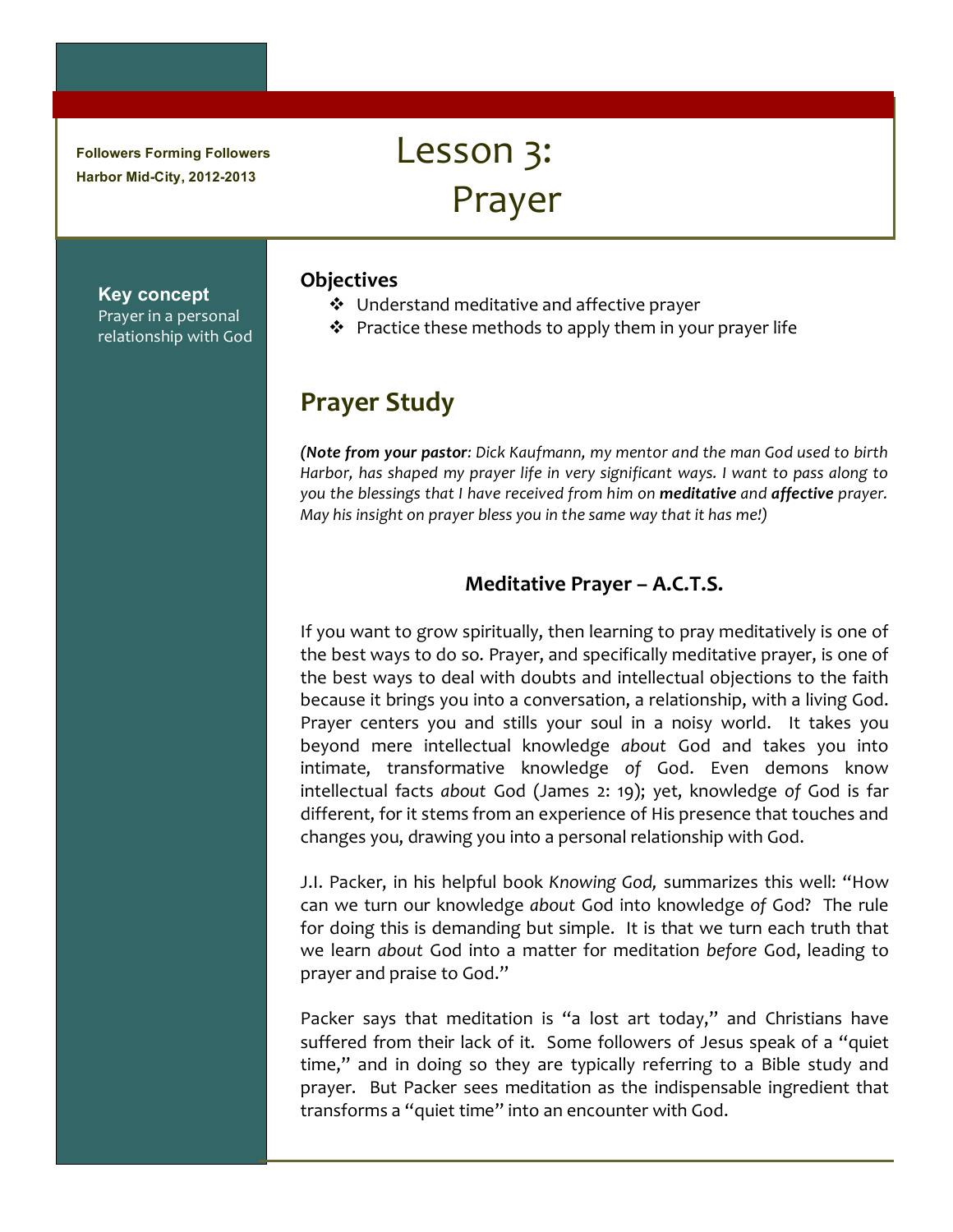**Followers Forming Followers Harbor Mid-City, 2012-2013**

# Lesson 3: Prayer

**Key concept** Prayer in a personal relationship with God

## **Objectives**

- $\triangleleft$  Understand meditative and affective prayer
- $\cdot$  Practice these methods to apply them in your prayer life

# **Prayer Study**

*(Note from your pastor: Dick Kaufmann, my mentor and the man God used to birth Harbor, has shaped my prayer life in very significant ways. I want to pass along to you the blessings that I have received from him on meditative and affective prayer. May his insight on prayer bless you in the same way that it has me!)* 

# **Meditative Prayer – A.C.T.S.**

If you want to grow spiritually, then learning to pray meditatively is one of the best ways to do so. Prayer, and specifically meditative prayer, is one of the best ways to deal with doubts and intellectual objections to the faith because it brings you into a conversation, a relationship, with a living God. Prayer centers you and stills your soul in a noisy world. It takes you beyond mere intellectual knowledge *about* God and takes you into intimate, transformative knowledge of God. Even demons know intellectual facts *about* God (James 2: 19); yet, knowledge of God is far different, for it stems from an experience of His presence that touches and changes you, drawing you into a personal relationship with God.

J.I. Packer, in his helpful book *Knowing God,* summarizes this well: "How can we turn our knowledge about God into knowledge of God? The rule for doing this is demanding but simple. It is that we turn each truth that we learn *about* God into a matter for meditation before God, leading to prayer and praise to God."

Packer says that meditation is "a lost art today," and Christians have suffered from their lack of it. Some followers of Jesus speak of a "quiet time," and in doing so they are typically referring to a Bible study and prayer. But Packer sees meditation as the indispensable ingredient that transforms a "quiet time" into an encounter with God.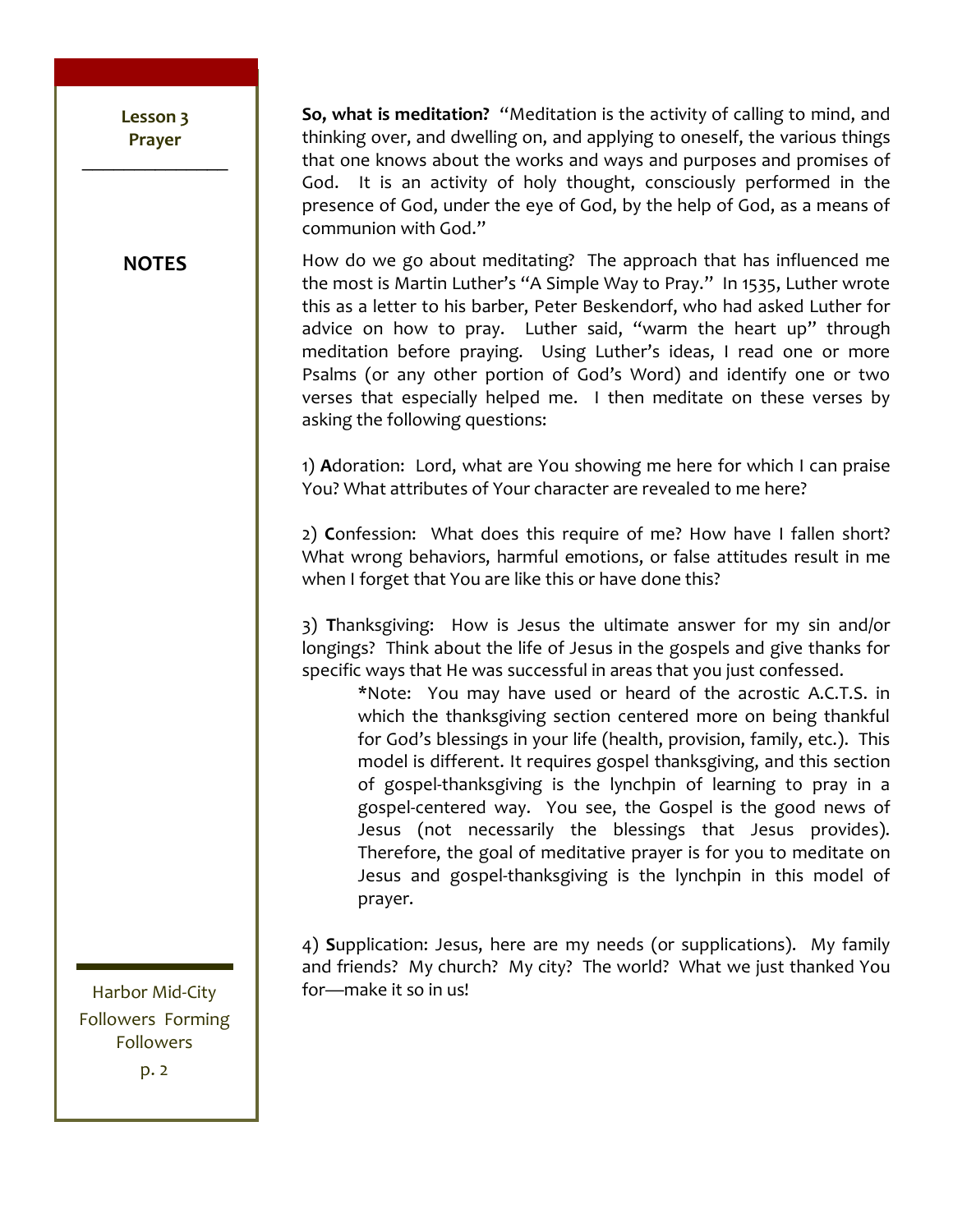Lesson 3 Prayer

**NOTES** 

So, what is meditation? "Meditation is the activity of calling to mind, and thinking over, and dwelling on, and applying to oneself, the various things that one knows about the works and ways and purposes and promises of God. It is an activity of holy thought, consciously performed in the presence of God, under the eye of God, by the help of God, as a means of communion with God."

How do we go about meditating? The approach that has influenced me the most is Martin Luther's "A Simple Way to Pray." In 1535, Luther wrote this as a letter to his barber, Peter Beskendorf, who had asked Luther for advice on how to pray. Luther said, "warm the heart up" through meditation before praying. Using Luther's ideas, I read one or more Psalms (or any other portion of God's Word) and identify one or two verses that especially helped me. I then meditate on these verses by asking the following questions:

1) Adoration: Lord, what are You showing me here for which I can praise You? What attributes of Your character are revealed to me here?

2) Confession: What does this require of me? How have I fallen short? What wrong behaviors, harmful emotions, or false attitudes result in me when I forget that You are like this or have done this?

3) Thanksgiving: How is Jesus the ultimate answer for my sin and/or longings? Think about the life of Jesus in the gospels and give thanks for specific ways that He was successful in areas that you just confessed.

\*Note: You may have used or heard of the acrostic A.C.T.S. in which the thanksgiving section centered more on being thankful for God's blessings in your life (health, provision, family, etc.). This model is different. It requires gospel thanksgiving, and this section of gospel-thanksgiving is the lynchpin of learning to pray in a gospel-centered way. You see, the Gospel is the good news of Jesus (not necessarily the blessings that Jesus provides). Therefore, the goal of meditative prayer is for you to meditate on Jesus and gospel-thanksgiving is the lynchpin in this model of prayer.

4) Supplication: Jesus, here are my needs (or supplications). My family and friends? My church? My city? The world? What we just thanked You for-make it so in us!

Harbor Mid-City **Followers Forming Followers**  $p.2$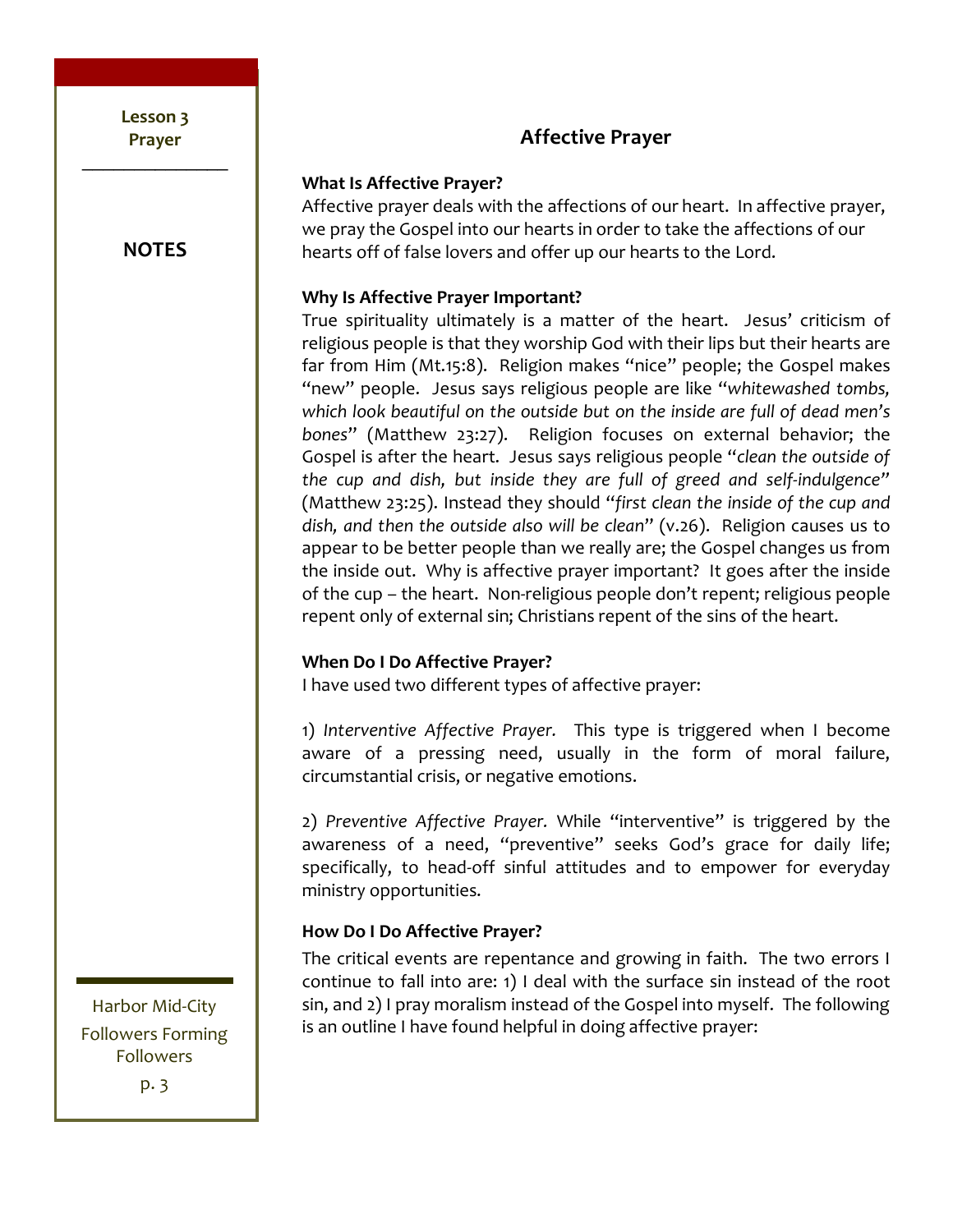Lesson 3 **Prayer!**  $\frac{1}{2}$ 

**NOTES**

# **Affective!Prayer**

### **What Is Affective Prayer?**

Affective prayer deals with the affections of our heart. In affective prayer, we pray the Gospel into our hearts in order to take the affections of our hearts off of false lovers and offer up our hearts to the Lord.

## **Why Is Affective Prayer Important?**

True spirituality ultimately is a matter of the heart. Jesus' criticism of religious people is that they worship God with their lips but their hearts are far from Him (Mt.15:8). Religion makes "nice" people; the Gospel makes "new" people. Jesus says religious people are like "whitewashed tombs, which look beautiful on the outside but on the inside are full of dead men's bones" (Matthew 23:27). Religion focuses on external behavior; the Gospel is after the heart. Jesus says religious people "clean the outside of the cup and dish, but inside they are full of greed and self-indulgence" (Matthew 23:25). Instead they should "first clean the inside of the cup and dish, and then the outside also will be clean" (v.26). Religion causes us to appear to be better people than we really are; the Gospel changes us from the inside out. Why is affective prayer important? It goes after the inside of the cup – the heart. Non-religious people don't repent; religious people repent only of external sin; Christians repent of the sins of the heart.

# **When Do I Do Affective Prayer?**

I have used two different types of affective prayer:

1) Interventive Affective Prayer. This type is triggered when I become aware of a pressing need, usually in the form of moral failure, circumstantial crisis, or negative emotions.

2) Preventive Affective Prayer. While "interventive" is triggered by the awareness of a need, "preventive" seeks God's grace for daily life; specifically, to head-off sinful attitudes and to empower for everyday ministry opportunities.

# **How Do I Do Affective Prayer?**

The critical events are repentance and growing in faith. The two errors I continue to fall into are:  $1)$  I deal with the surface sin instead of the root sin, and 2) I pray moralism instead of the Gospel into myself. The following is an outline I have found helpful in doing affective prayer:

Harbor Mid-City Followers Forming Followers p. 3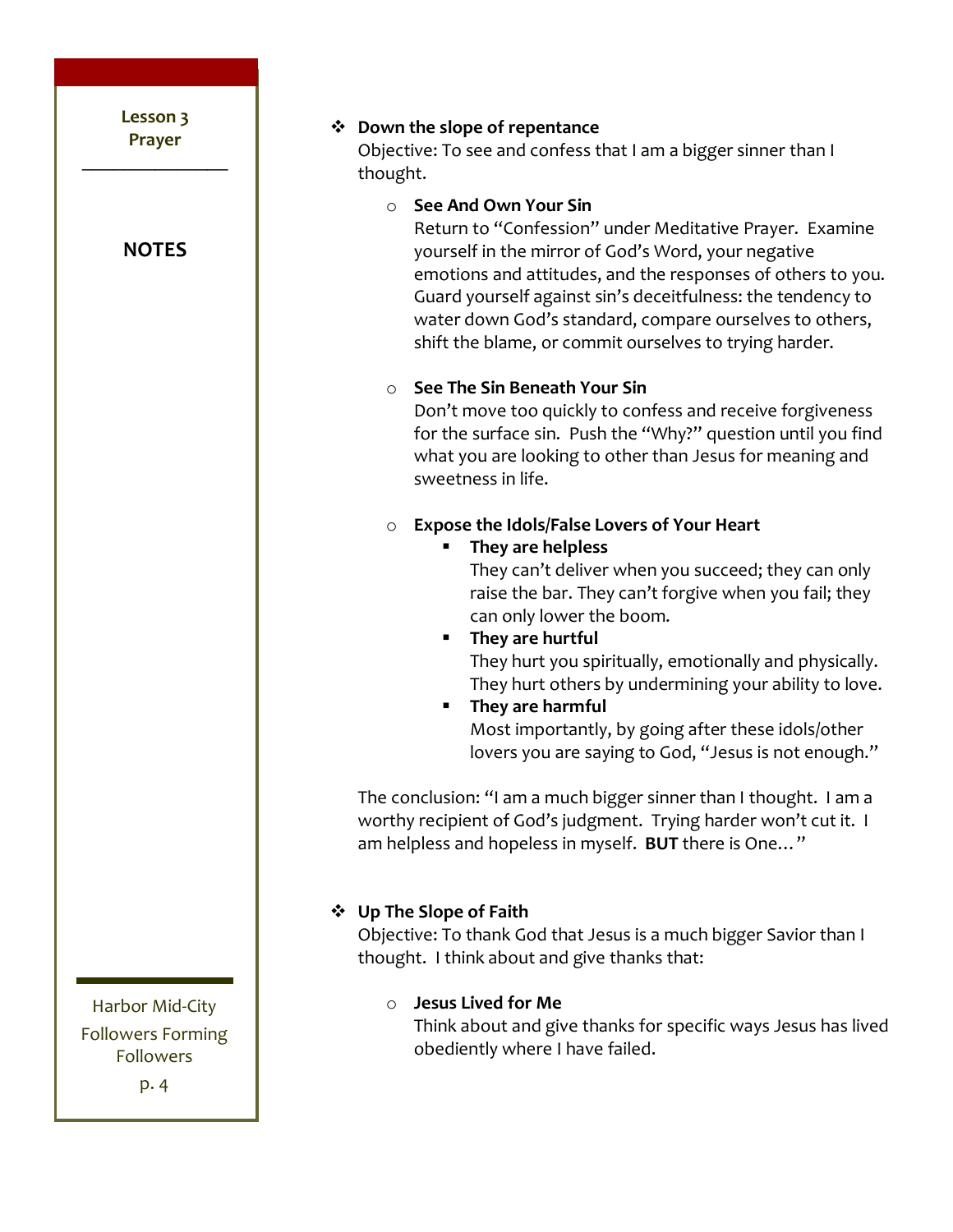**❖** Down the slope of repentance Objective: To see and confess that I am a bigger sinner than I thought. o **See!And!Own!Your!Sin** Return to "Confession" under Meditative Prayer. Examine yourself in the mirror of God's Word, your negative emotions and attitudes, and the responses of others to you. Guard yourself against sin's deceitfulness: the tendency to water down God's standard, compare ourselves to others, shift the blame, or commit ourselves to trying harder. o **See!The!Sin!Beneath!Your!Sin** Don't move too quickly to confess and receive forgiveness for the surface sin. Push the "Why?" question until you find what you are looking to other than Jesus for meaning and sweetness in life. o **Expose the Idols/False Lovers of Your Heart They!are!helpless** They can't deliver when you succeed; they can only raise the bar. They can't forgive when you fail; they can only lower the boom. **They are hurtful** They hurt you spiritually, emotionally and physically. They hurt others by undermining your ability to love. **They!are!harmful** Most importantly, by going after these idols/other lovers you are saying to God, "Jesus is not enough." The conclusion: "I am a much bigger sinner than I thought. I am a worthy recipient of God's judgment. Trying harder won't cut it. I am helpless and hopeless in myself. BUT there is One..."  $\div$  Up The Slope of Faith Objective: To thank God that Jesus is a much bigger Savior than I thought. I think about and give thanks that: o **Jesus!Lived!for!Me** Think about and give thanks for specific ways Jesus has lived obediently where I have failed. Lesson 3 **Prayer!**  $\frac{1}{2}$ **NOTES** Harbor Mid-City Followers Forming Followers p.&4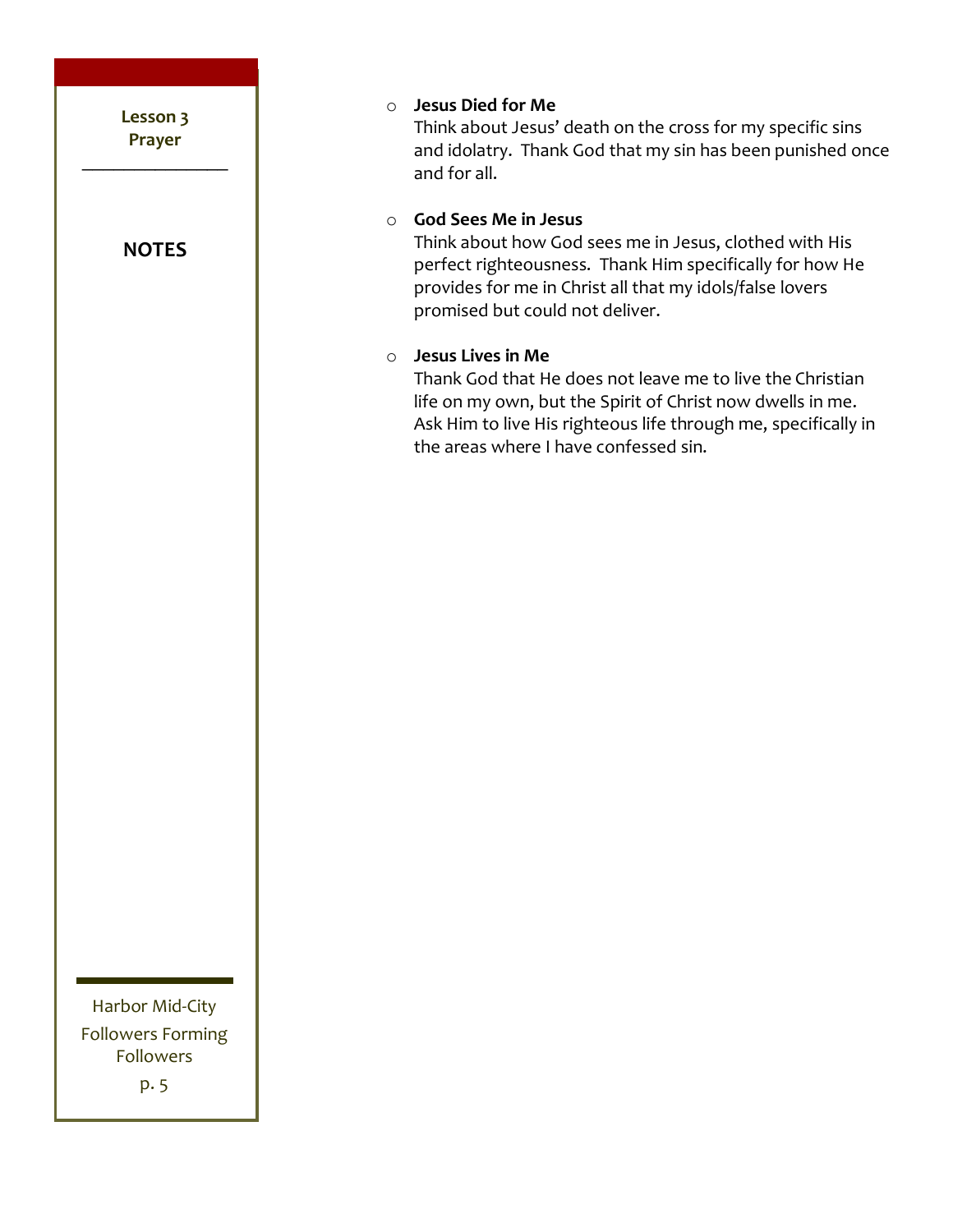